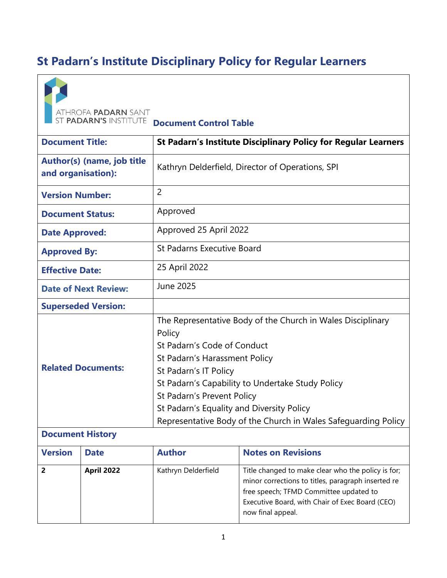# **St Padarn's Institute Disciplinary Policy for Regular Learners**



**ATHROFA PADARN SANT<br>ST PADARN'S INSTITUTE Document Control Table** 

| <b>Document Title:</b>                           | <b>St Padarn's Institute Disciplinary Policy for Regular Learners</b>                                                                                                                                                                                                                                                                                           |  |
|--------------------------------------------------|-----------------------------------------------------------------------------------------------------------------------------------------------------------------------------------------------------------------------------------------------------------------------------------------------------------------------------------------------------------------|--|
| Author(s) (name, job title<br>and organisation): | Kathryn Delderfield, Director of Operations, SPI                                                                                                                                                                                                                                                                                                                |  |
| <b>Version Number:</b>                           | $\overline{2}$                                                                                                                                                                                                                                                                                                                                                  |  |
| <b>Document Status:</b>                          | Approved                                                                                                                                                                                                                                                                                                                                                        |  |
| <b>Date Approved:</b>                            | Approved 25 April 2022                                                                                                                                                                                                                                                                                                                                          |  |
| <b>Approved By:</b>                              | <b>St Padarns Executive Board</b>                                                                                                                                                                                                                                                                                                                               |  |
| <b>Effective Date:</b>                           | 25 April 2022                                                                                                                                                                                                                                                                                                                                                   |  |
| <b>Date of Next Review:</b>                      | <b>June 2025</b>                                                                                                                                                                                                                                                                                                                                                |  |
| <b>Superseded Version:</b>                       |                                                                                                                                                                                                                                                                                                                                                                 |  |
| <b>Related Documents:</b>                        | The Representative Body of the Church in Wales Disciplinary<br>Policy<br>St Padarn's Code of Conduct<br>St Padarn's Harassment Policy<br>St Padarn's IT Policy<br>St Padarn's Capability to Undertake Study Policy<br>St Padarn's Prevent Policy<br>St Padarn's Equality and Diversity Policy<br>Representative Body of the Church in Wales Safeguarding Policy |  |

# **Document History**

| <b>Version</b> | <b>Date</b>       | <b>Author</b>       | <b>Notes on Revisions</b>                                                                                                                                                                                                  |
|----------------|-------------------|---------------------|----------------------------------------------------------------------------------------------------------------------------------------------------------------------------------------------------------------------------|
|                | <b>April 2022</b> | Kathryn Delderfield | Title changed to make clear who the policy is for;<br>minor corrections to titles, paragraph inserted re<br>free speech; TFMD Committee updated to<br>Executive Board, with Chair of Exec Board (CEO)<br>now final appeal. |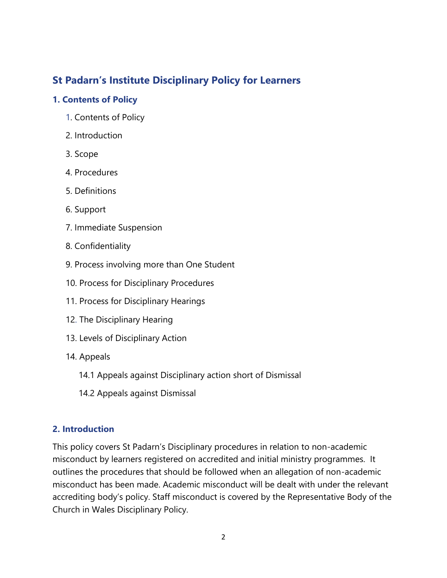# **St Padarn's Institute Disciplinary Policy for Learners**

#### **1. Contents of Policy**

- 1. Contents of Policy
- 2. Introduction
- 3. Scope
- 4. Procedures
- 5. Definitions
- 6. Support
- 7. Immediate Suspension
- 8. Confidentiality
- 9. Process involving more than One Student
- 10. Process for Disciplinary Procedures
- 11. Process for Disciplinary Hearings
- 12. The Disciplinary Hearing
- 13. Levels of Disciplinary Action
- 14. Appeals
	- 14.1 Appeals against Disciplinary action short of Dismissal
	- 14.2 Appeals against Dismissal

# **2. Introduction**

This policy covers St Padarn's Disciplinary procedures in relation to non-academic misconduct by learners registered on accredited and initial ministry programmes. It outlines the procedures that should be followed when an allegation of non-academic misconduct has been made. Academic misconduct will be dealt with under the relevant accrediting body's policy. Staff misconduct is covered by the Representative Body of the Church in Wales Disciplinary Policy.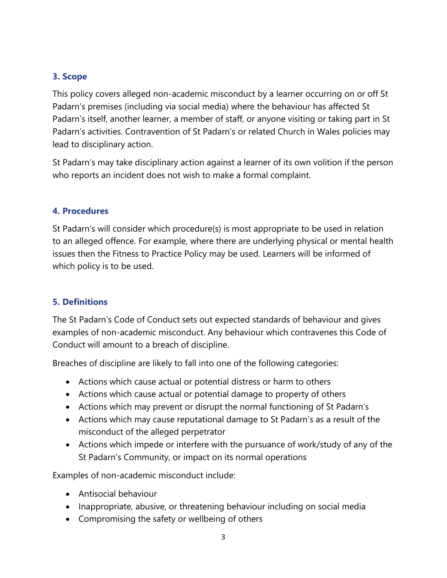#### **3. Scope**

This policy covers alleged non-academic misconduct by a learner occurring on or off St Padarn's premises (including via social media) where the behaviour has affected St Padarn's itself, another learner, a member of staff, or anyone visiting or taking part in St Padarn's activities. Contravention of St Padarn's or related Church in Wales policies may lead to disciplinary action.

St Padarn's may take disciplinary action against a learner of its own volition if the person who reports an incident does not wish to make a formal complaint.

#### **4. Procedures**

St Padarn's will consider which procedure(s) is most appropriate to be used in relation to an alleged offence. For example, where there are underlying physical or mental health issues then the Fitness to Practice Policy may be used. Learners will be informed of which policy is to be used.

# **5. Definitions**

The St Padarn's Code of Conduct sets out expected standards of behaviour and gives examples of non-academic misconduct. Any behaviour which contravenes this Code of Conduct will amount to a breach of discipline.

Breaches of discipline are likely to fall into one of the following categories:

- Actions which cause actual or potential distress or harm to others
- Actions which cause actual or potential damage to property of others
- Actions which may prevent or disrupt the normal functioning of St Padarn's
- Actions which may cause reputational damage to St Padarn's as a result of the misconduct of the alleged perpetrator
- Actions which impede or interfere with the pursuance of work/study of any of the St Padarn's Community, or impact on its normal operations

Examples of non-academic misconduct include:

- Antisocial behaviour
- Inappropriate, abusive, or threatening behaviour including on social media
- Compromising the safety or wellbeing of others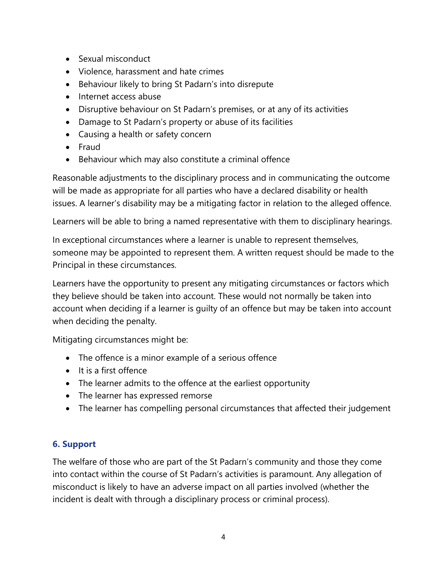- Sexual misconduct
- Violence, harassment and hate crimes
- Behaviour likely to bring St Padarn's into disrepute
- Internet access abuse
- Disruptive behaviour on St Padarn's premises, or at any of its activities
- Damage to St Padarn's property or abuse of its facilities
- Causing a health or safety concern
- Fraud
- Behaviour which may also constitute a criminal offence

Reasonable adjustments to the disciplinary process and in communicating the outcome will be made as appropriate for all parties who have a declared disability or health issues. A learner's disability may be a mitigating factor in relation to the alleged offence.

Learners will be able to bring a named representative with them to disciplinary hearings.

In exceptional circumstances where a learner is unable to represent themselves, someone may be appointed to represent them. A written request should be made to the Principal in these circumstances.

Learners have the opportunity to present any mitigating circumstances or factors which they believe should be taken into account. These would not normally be taken into account when deciding if a learner is guilty of an offence but may be taken into account when deciding the penalty.

Mitigating circumstances might be:

- The offence is a minor example of a serious offence
- It is a first offence
- The learner admits to the offence at the earliest opportunity
- The learner has expressed remorse
- The learner has compelling personal circumstances that affected their judgement

# **6. Support**

The welfare of those who are part of the St Padarn's community and those they come into contact within the course of St Padarn's activities is paramount. Any allegation of misconduct is likely to have an adverse impact on all parties involved (whether the incident is dealt with through a disciplinary process or criminal process).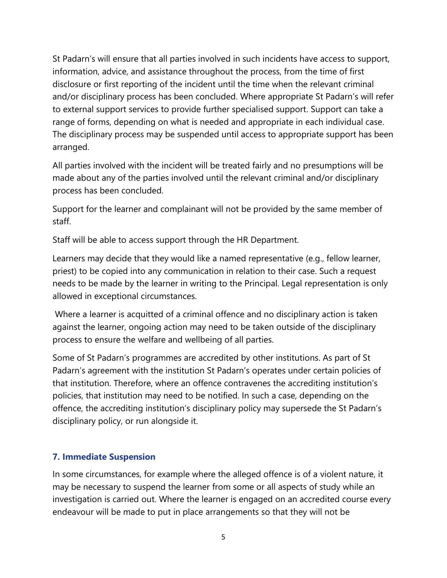St Padarn's will ensure that all parties involved in such incidents have access to support, information, advice, and assistance throughout the process, from the time of first disclosure or first reporting of the incident until the time when the relevant criminal and/or disciplinary process has been concluded. Where appropriate St Padarn's will refer to external support services to provide further specialised support. Support can take a range of forms, depending on what is needed and appropriate in each individual case. The disciplinary process may be suspended until access to appropriate support has been arranged.

All parties involved with the incident will be treated fairly and no presumptions will be made about any of the parties involved until the relevant criminal and/or disciplinary process has been concluded.

Support for the learner and complainant will not be provided by the same member of staff.

Staff will be able to access support through the HR Department.

Learners may decide that they would like a named representative (e.g., fellow learner, priest) to be copied into any communication in relation to their case. Such a request needs to be made by the learner in writing to the Principal. Legal representation is only allowed in exceptional circumstances.

Where a learner is acquitted of a criminal offence and no disciplinary action is taken against the learner, ongoing action may need to be taken outside of the disciplinary process to ensure the welfare and wellbeing of all parties.

Some of St Padarn's programmes are accredited by other institutions. As part of St Padarn's agreement with the institution St Padarn's operates under certain policies of that institution. Therefore, where an offence contravenes the accrediting institution's policies, that institution may need to be notified. In such a case, depending on the offence, the accrediting institution's disciplinary policy may supersede the St Padarn's disciplinary policy, or run alongside it.

# **7. Immediate Suspension**

In some circumstances, for example where the alleged offence is of a violent nature, it may be necessary to suspend the learner from some or all aspects of study while an investigation is carried out. Where the learner is engaged on an accredited course every endeavour will be made to put in place arrangements so that they will not be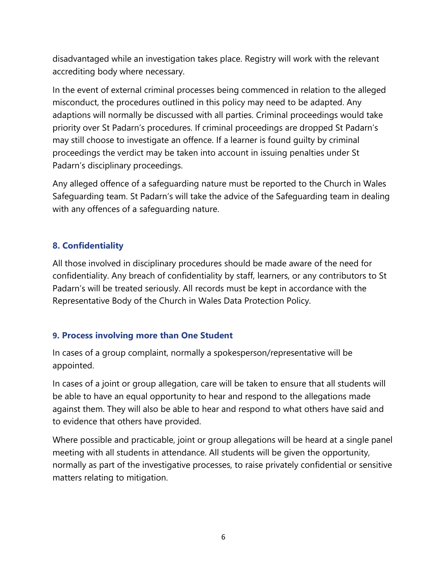disadvantaged while an investigation takes place. Registry will work with the relevant accrediting body where necessary.

In the event of external criminal processes being commenced in relation to the alleged misconduct, the procedures outlined in this policy may need to be adapted. Any adaptions will normally be discussed with all parties. Criminal proceedings would take priority over St Padarn's procedures. If criminal proceedings are dropped St Padarn's may still choose to investigate an offence. If a learner is found guilty by criminal proceedings the verdict may be taken into account in issuing penalties under St Padarn's disciplinary proceedings.

Any alleged offence of a safeguarding nature must be reported to the Church in Wales Safeguarding team. St Padarn's will take the advice of the Safeguarding team in dealing with any offences of a safeguarding nature.

#### **8. Confidentiality**

All those involved in disciplinary procedures should be made aware of the need for confidentiality. Any breach of confidentiality by staff, learners, or any contributors to St Padarn's will be treated seriously. All records must be kept in accordance with the Representative Body of the Church in Wales Data Protection Policy.

#### **9. Process involving more than One Student**

In cases of a group complaint, normally a spokesperson/representative will be appointed.

In cases of a joint or group allegation, care will be taken to ensure that all students will be able to have an equal opportunity to hear and respond to the allegations made against them. They will also be able to hear and respond to what others have said and to evidence that others have provided.

Where possible and practicable, joint or group allegations will be heard at a single panel meeting with all students in attendance. All students will be given the opportunity, normally as part of the investigative processes, to raise privately confidential or sensitive matters relating to mitigation.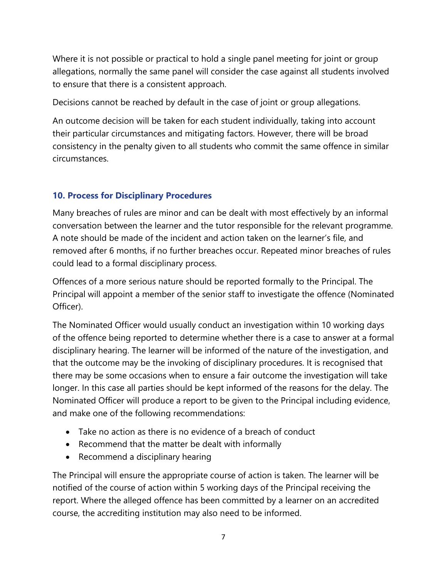Where it is not possible or practical to hold a single panel meeting for joint or group allegations, normally the same panel will consider the case against all students involved to ensure that there is a consistent approach.

Decisions cannot be reached by default in the case of joint or group allegations.

An outcome decision will be taken for each student individually, taking into account their particular circumstances and mitigating factors. However, there will be broad consistency in the penalty given to all students who commit the same offence in similar circumstances.

# **10. Process for Disciplinary Procedures**

Many breaches of rules are minor and can be dealt with most effectively by an informal conversation between the learner and the tutor responsible for the relevant programme. A note should be made of the incident and action taken on the learner's file, and removed after 6 months, if no further breaches occur. Repeated minor breaches of rules could lead to a formal disciplinary process.

Offences of a more serious nature should be reported formally to the Principal. The Principal will appoint a member of the senior staff to investigate the offence (Nominated Officer).

The Nominated Officer would usually conduct an investigation within 10 working days of the offence being reported to determine whether there is a case to answer at a formal disciplinary hearing. The learner will be informed of the nature of the investigation, and that the outcome may be the invoking of disciplinary procedures. It is recognised that there may be some occasions when to ensure a fair outcome the investigation will take longer. In this case all parties should be kept informed of the reasons for the delay. The Nominated Officer will produce a report to be given to the Principal including evidence, and make one of the following recommendations:

- Take no action as there is no evidence of a breach of conduct
- Recommend that the matter be dealt with informally
- Recommend a disciplinary hearing

The Principal will ensure the appropriate course of action is taken. The learner will be notified of the course of action within 5 working days of the Principal receiving the report. Where the alleged offence has been committed by a learner on an accredited course, the accrediting institution may also need to be informed.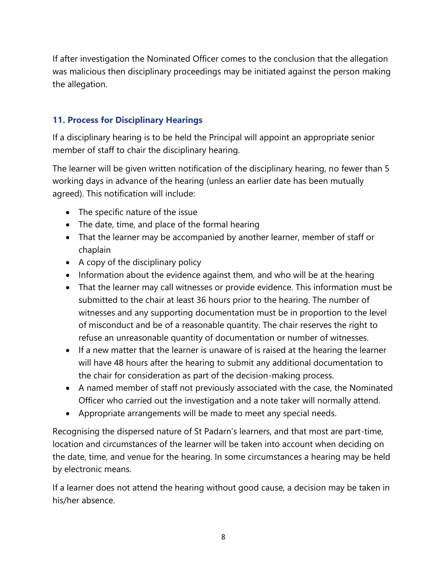If after investigation the Nominated Officer comes to the conclusion that the allegation was malicious then disciplinary proceedings may be initiated against the person making the allegation.

#### **11. Process for Disciplinary Hearings**

If a disciplinary hearing is to be held the Principal will appoint an appropriate senior member of staff to chair the disciplinary hearing.

The learner will be given written notification of the disciplinary hearing, no fewer than 5 working days in advance of the hearing (unless an earlier date has been mutually agreed). This notification will include:

- The specific nature of the issue
- The date, time, and place of the formal hearing
- That the learner may be accompanied by another learner, member of staff or chaplain
- A copy of the disciplinary policy
- Information about the evidence against them, and who will be at the hearing
- That the learner may call witnesses or provide evidence. This information must be submitted to the chair at least 36 hours prior to the hearing. The number of witnesses and any supporting documentation must be in proportion to the level of misconduct and be of a reasonable quantity. The chair reserves the right to refuse an unreasonable quantity of documentation or number of witnesses.
- If a new matter that the learner is unaware of is raised at the hearing the learner will have 48 hours after the hearing to submit any additional documentation to the chair for consideration as part of the decision-making process.
- A named member of staff not previously associated with the case, the Nominated Officer who carried out the investigation and a note taker will normally attend.
- Appropriate arrangements will be made to meet any special needs.

Recognising the dispersed nature of St Padarn's learners, and that most are part-time, location and circumstances of the learner will be taken into account when deciding on the date, time, and venue for the hearing. In some circumstances a hearing may be held by electronic means.

If a learner does not attend the hearing without good cause, a decision may be taken in his/her absence.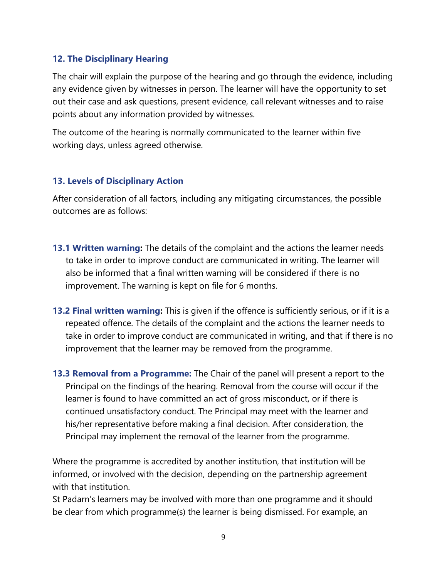#### **12. The Disciplinary Hearing**

The chair will explain the purpose of the hearing and go through the evidence, including any evidence given by witnesses in person. The learner will have the opportunity to set out their case and ask questions, present evidence, call relevant witnesses and to raise points about any information provided by witnesses.

The outcome of the hearing is normally communicated to the learner within five working days, unless agreed otherwise.

#### **13. Levels of Disciplinary Action**

After consideration of all factors, including any mitigating circumstances, the possible outcomes are as follows:

- **13.1 Written warning:** The details of the complaint and the actions the learner needs to take in order to improve conduct are communicated in writing. The learner will also be informed that a final written warning will be considered if there is no improvement. The warning is kept on file for 6 months.
- **13.2 Final written warning:** This is given if the offence is sufficiently serious, or if it is a repeated offence. The details of the complaint and the actions the learner needs to take in order to improve conduct are communicated in writing, and that if there is no improvement that the learner may be removed from the programme.
- **13.3 Removal from a Programme:** The Chair of the panel will present a report to the Principal on the findings of the hearing. Removal from the course will occur if the learner is found to have committed an act of gross misconduct, or if there is continued unsatisfactory conduct. The Principal may meet with the learner and his/her representative before making a final decision. After consideration, the Principal may implement the removal of the learner from the programme.

Where the programme is accredited by another institution, that institution will be informed, or involved with the decision, depending on the partnership agreement with that institution.

St Padarn's learners may be involved with more than one programme and it should be clear from which programme(s) the learner is being dismissed. For example, an